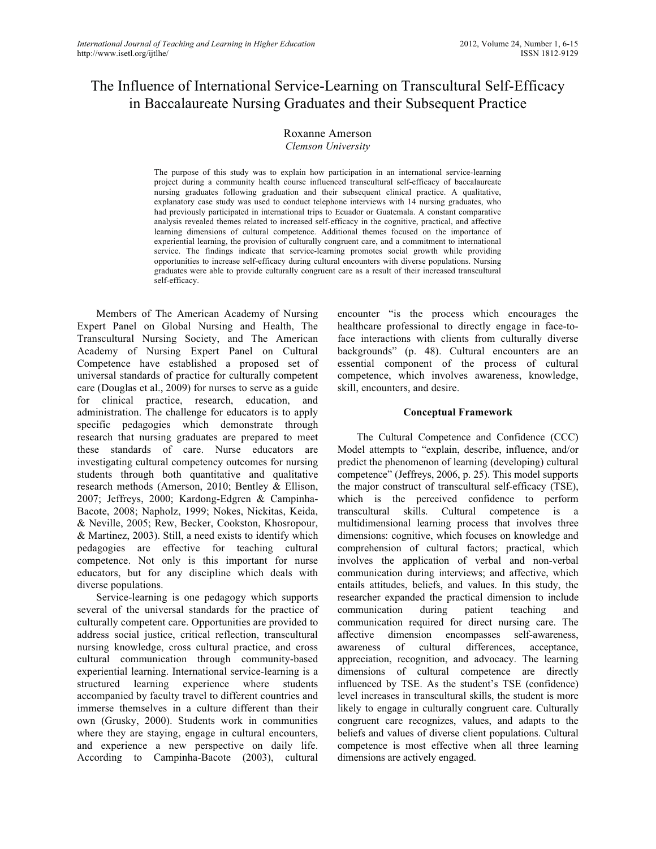# The Influence of International Service-Learning on Transcultural Self-Efficacy in Baccalaureate Nursing Graduates and their Subsequent Practice

#### Roxanne Amerson *Clemson University*

The purpose of this study was to explain how participation in an international service-learning project during a community health course influenced transcultural self-efficacy of baccalaureate nursing graduates following graduation and their subsequent clinical practice. A qualitative, explanatory case study was used to conduct telephone interviews with 14 nursing graduates, who had previously participated in international trips to Ecuador or Guatemala. A constant comparative analysis revealed themes related to increased self-efficacy in the cognitive, practical, and affective learning dimensions of cultural competence. Additional themes focused on the importance of experiential learning, the provision of culturally congruent care, and a commitment to international service. The findings indicate that service-learning promotes social growth while providing opportunities to increase self-efficacy during cultural encounters with diverse populations. Nursing graduates were able to provide culturally congruent care as a result of their increased transcultural self-efficacy.

Members of The American Academy of Nursing Expert Panel on Global Nursing and Health, The Transcultural Nursing Society, and The American Academy of Nursing Expert Panel on Cultural Competence have established a proposed set of universal standards of practice for culturally competent care (Douglas et al., 2009) for nurses to serve as a guide for clinical practice, research, education, and administration. The challenge for educators is to apply specific pedagogies which demonstrate through research that nursing graduates are prepared to meet these standards of care. Nurse educators are investigating cultural competency outcomes for nursing students through both quantitative and qualitative research methods (Amerson, 2010; Bentley & Ellison, 2007; Jeffreys, 2000; Kardong-Edgren & Campinha-Bacote, 2008; Napholz, 1999; Nokes, Nickitas, Keida, & Neville, 2005; Rew, Becker, Cookston, Khosropour, & Martinez, 2003). Still, a need exists to identify which pedagogies are effective for teaching cultural competence. Not only is this important for nurse educators, but for any discipline which deals with diverse populations.

Service-learning is one pedagogy which supports several of the universal standards for the practice of culturally competent care. Opportunities are provided to address social justice, critical reflection, transcultural nursing knowledge, cross cultural practice, and cross cultural communication through community-based experiential learning. International service-learning is a structured learning experience where students accompanied by faculty travel to different countries and immerse themselves in a culture different than their own (Grusky, 2000). Students work in communities where they are staying, engage in cultural encounters, and experience a new perspective on daily life. According to Campinha-Bacote (2003), cultural

encounter "is the process which encourages the healthcare professional to directly engage in face-toface interactions with clients from culturally diverse backgrounds" (p. 48). Cultural encounters are an essential component of the process of cultural competence, which involves awareness, knowledge, skill, encounters, and desire.

## **Conceptual Framework**

The Cultural Competence and Confidence (CCC) Model attempts to "explain, describe, influence, and/or predict the phenomenon of learning (developing) cultural competence" (Jeffreys, 2006, p. 25). This model supports the major construct of transcultural self-efficacy (TSE), which is the perceived confidence to perform transcultural skills. Cultural competence is a multidimensional learning process that involves three dimensions: cognitive, which focuses on knowledge and comprehension of cultural factors; practical, which involves the application of verbal and non-verbal communication during interviews; and affective, which entails attitudes, beliefs, and values. In this study, the researcher expanded the practical dimension to include communication during patient teaching and communication required for direct nursing care. The affective dimension encompasses self-awareness, awareness of cultural differences, acceptance, appreciation, recognition, and advocacy. The learning dimensions of cultural competence are directly influenced by TSE. As the student's TSE (confidence) level increases in transcultural skills, the student is more likely to engage in culturally congruent care. Culturally congruent care recognizes, values, and adapts to the beliefs and values of diverse client populations. Cultural competence is most effective when all three learning dimensions are actively engaged.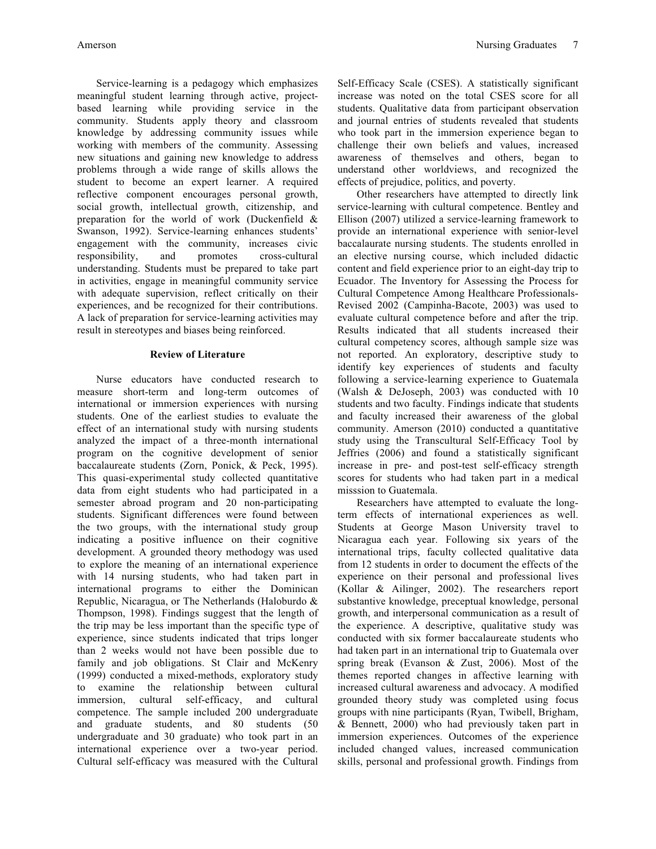Service-learning is a pedagogy which emphasizes meaningful student learning through active, projectbased learning while providing service in the community. Students apply theory and classroom knowledge by addressing community issues while working with members of the community. Assessing new situations and gaining new knowledge to address problems through a wide range of skills allows the student to become an expert learner. A required reflective component encourages personal growth, social growth, intellectual growth, citizenship, and preparation for the world of work (Duckenfield & Swanson, 1992). Service-learning enhances students' engagement with the community, increases civic responsibility, and promotes cross-cultural understanding. Students must be prepared to take part in activities, engage in meaningful community service with adequate supervision, reflect critically on their experiences, and be recognized for their contributions. A lack of preparation for service-learning activities may result in stereotypes and biases being reinforced.

## **Review of Literature**

Nurse educators have conducted research to measure short-term and long-term outcomes of international or immersion experiences with nursing students. One of the earliest studies to evaluate the effect of an international study with nursing students analyzed the impact of a three-month international program on the cognitive development of senior baccalaureate students (Zorn, Ponick, & Peck, 1995). This quasi-experimental study collected quantitative data from eight students who had participated in a semester abroad program and 20 non-participating students. Significant differences were found between the two groups, with the international study group indicating a positive influence on their cognitive development. A grounded theory methodogy was used to explore the meaning of an international experience with 14 nursing students, who had taken part in international programs to either the Dominican Republic, Nicaragua, or The Netherlands (Haloburdo & Thompson, 1998). Findings suggest that the length of the trip may be less important than the specific type of experience, since students indicated that trips longer than 2 weeks would not have been possible due to family and job obligations. St Clair and McKenry (1999) conducted a mixed-methods, exploratory study to examine the relationship between cultural immersion, cultural self-efficacy, and cultural competence. The sample included 200 undergraduate and graduate students, and 80 students (50 undergraduate and 30 graduate) who took part in an international experience over a two-year period. Cultural self-efficacy was measured with the Cultural Self-Efficacy Scale (CSES). A statistically significant increase was noted on the total CSES score for all students. Qualitative data from participant observation and journal entries of students revealed that students who took part in the immersion experience began to challenge their own beliefs and values, increased awareness of themselves and others, began to understand other worldviews, and recognized the effects of prejudice, politics, and poverty.

Other researchers have attempted to directly link service-learning with cultural competence. Bentley and Ellison (2007) utilized a service-learning framework to provide an international experience with senior-level baccalaurate nursing students. The students enrolled in an elective nursing course, which included didactic content and field experience prior to an eight-day trip to Ecuador. The Inventory for Assessing the Process for Cultural Competence Among Healthcare Professionals-Revised 2002 (Campinha-Bacote, 2003) was used to evaluate cultural competence before and after the trip. Results indicated that all students increased their cultural competency scores, although sample size was not reported. An exploratory, descriptive study to identify key experiences of students and faculty following a service-learning experience to Guatemala (Walsh & DeJoseph, 2003) was conducted with 10 students and two faculty. Findings indicate that students and faculty increased their awareness of the global community. Amerson (2010) conducted a quantitative study using the Transcultural Self-Efficacy Tool by Jeffries (2006) and found a statistically significant increase in pre- and post-test self-efficacy strength scores for students who had taken part in a medical misssion to Guatemala.

Researchers have attempted to evaluate the longterm effects of international experiences as well. Students at George Mason University travel to Nicaragua each year. Following six years of the international trips, faculty collected qualitative data from 12 students in order to document the effects of the experience on their personal and professional lives (Kollar & Ailinger, 2002). The researchers report substantive knowledge, preceptual knowledge, personal growth, and interpersonal communication as a result of the experience. A descriptive, qualitative study was conducted with six former baccalaureate students who had taken part in an international trip to Guatemala over spring break (Evanson & Zust, 2006). Most of the themes reported changes in affective learning with increased cultural awareness and advocacy. A modified grounded theory study was completed using focus groups with nine participants (Ryan, Twibell, Brigham, & Bennett, 2000) who had previously taken part in immersion experiences. Outcomes of the experience included changed values, increased communication skills, personal and professional growth. Findings from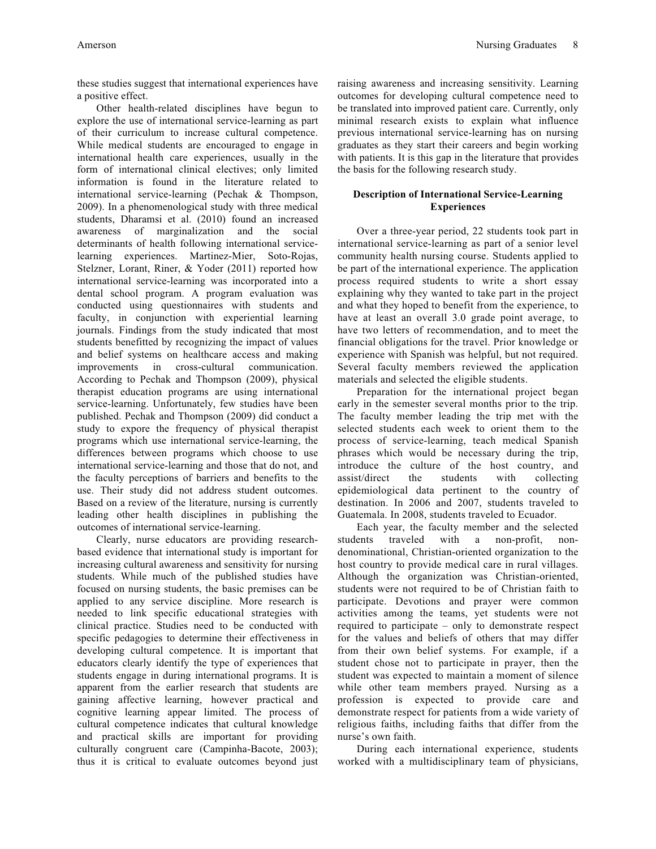these studies suggest that international experiences have a positive effect.

Other health-related disciplines have begun to explore the use of international service-learning as part of their curriculum to increase cultural competence. While medical students are encouraged to engage in international health care experiences, usually in the form of international clinical electives; only limited information is found in the literature related to international service-learning (Pechak & Thompson, 2009). In a phenomenological study with three medical students, Dharamsi et al. (2010) found an increased awareness of marginalization and the social determinants of health following international servicelearning experiences. Martinez-Mier, Soto-Rojas, Stelzner, Lorant, Riner, & Yoder (2011) reported how international service-learning was incorporated into a dental school program. A program evaluation was conducted using questionnaires with students and faculty, in conjunction with experiential learning journals. Findings from the study indicated that most students benefitted by recognizing the impact of values and belief systems on healthcare access and making improvements in cross-cultural communication. According to Pechak and Thompson (2009), physical therapist education programs are using international service-learning. Unfortunately, few studies have been published. Pechak and Thompson (2009) did conduct a study to expore the frequency of physical therapist programs which use international service-learning, the differences between programs which choose to use international service-learning and those that do not, and the faculty perceptions of barriers and benefits to the use. Their study did not address student outcomes. Based on a review of the literature, nursing is currently leading other health disciplines in publishing the outcomes of international service-learning.

Clearly, nurse educators are providing researchbased evidence that international study is important for increasing cultural awareness and sensitivity for nursing students. While much of the published studies have focused on nursing students, the basic premises can be applied to any service discipline. More research is needed to link specific educational strategies with clinical practice. Studies need to be conducted with specific pedagogies to determine their effectiveness in developing cultural competence. It is important that educators clearly identify the type of experiences that students engage in during international programs. It is apparent from the earlier research that students are gaining affective learning, however practical and cognitive learning appear limited. The process of cultural competence indicates that cultural knowledge and practical skills are important for providing culturally congruent care (Campinha-Bacote, 2003); thus it is critical to evaluate outcomes beyond just

raising awareness and increasing sensitivity. Learning outcomes for developing cultural competence need to be translated into improved patient care. Currently, only minimal research exists to explain what influence previous international service-learning has on nursing graduates as they start their careers and begin working with patients. It is this gap in the literature that provides the basis for the following research study.

## **Description of International Service-Learning Experiences**

Over a three-year period, 22 students took part in international service-learning as part of a senior level community health nursing course. Students applied to be part of the international experience. The application process required students to write a short essay explaining why they wanted to take part in the project and what they hoped to benefit from the experience, to have at least an overall 3.0 grade point average, to have two letters of recommendation, and to meet the financial obligations for the travel. Prior knowledge or experience with Spanish was helpful, but not required. Several faculty members reviewed the application materials and selected the eligible students.

Preparation for the international project began early in the semester several months prior to the trip. The faculty member leading the trip met with the selected students each week to orient them to the process of service-learning, teach medical Spanish phrases which would be necessary during the trip, introduce the culture of the host country, and assist/direct the students with collecting epidemiological data pertinent to the country of destination. In 2006 and 2007, students traveled to Guatemala. In 2008, students traveled to Ecuador.

Each year, the faculty member and the selected students traveled with a non-profit, nondenominational, Christian-oriented organization to the host country to provide medical care in rural villages. Although the organization was Christian-oriented, students were not required to be of Christian faith to participate. Devotions and prayer were common activities among the teams, yet students were not required to participate – only to demonstrate respect for the values and beliefs of others that may differ from their own belief systems. For example, if a student chose not to participate in prayer, then the student was expected to maintain a moment of silence while other team members prayed. Nursing as a profession is expected to provide care and demonstrate respect for patients from a wide variety of religious faiths, including faiths that differ from the nurse's own faith.

During each international experience, students worked with a multidisciplinary team of physicians,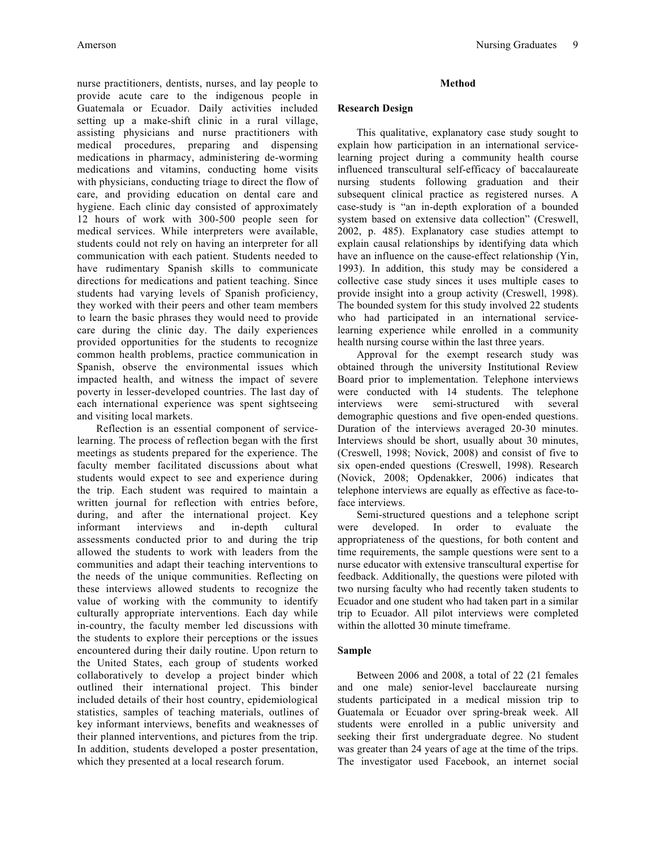nurse practitioners, dentists, nurses, and lay people to provide acute care to the indigenous people in Guatemala or Ecuador. Daily activities included setting up a make-shift clinic in a rural village, assisting physicians and nurse practitioners with medical procedures, preparing and dispensing medications in pharmacy, administering de-worming medications and vitamins, conducting home visits with physicians, conducting triage to direct the flow of care, and providing education on dental care and hygiene. Each clinic day consisted of approximately 12 hours of work with 300-500 people seen for medical services. While interpreters were available, students could not rely on having an interpreter for all communication with each patient. Students needed to have rudimentary Spanish skills to communicate directions for medications and patient teaching. Since students had varying levels of Spanish proficiency, they worked with their peers and other team members to learn the basic phrases they would need to provide care during the clinic day. The daily experiences provided opportunities for the students to recognize common health problems, practice communication in Spanish, observe the environmental issues which impacted health, and witness the impact of severe poverty in lesser-developed countries. The last day of each international experience was spent sightseeing and visiting local markets.

Reflection is an essential component of servicelearning. The process of reflection began with the first meetings as students prepared for the experience. The faculty member facilitated discussions about what students would expect to see and experience during the trip. Each student was required to maintain a written journal for reflection with entries before, during, and after the international project. Key informant interviews and in-depth cultural assessments conducted prior to and during the trip allowed the students to work with leaders from the communities and adapt their teaching interventions to the needs of the unique communities. Reflecting on these interviews allowed students to recognize the value of working with the community to identify culturally appropriate interventions. Each day while in-country, the faculty member led discussions with the students to explore their perceptions or the issues encountered during their daily routine. Upon return to the United States, each group of students worked collaboratively to develop a project binder which outlined their international project. This binder included details of their host country, epidemiological statistics, samples of teaching materials, outlines of key informant interviews, benefits and weaknesses of their planned interventions, and pictures from the trip. In addition, students developed a poster presentation, which they presented at a local research forum.

## **Method**

#### **Research Design**

This qualitative, explanatory case study sought to explain how participation in an international servicelearning project during a community health course influenced transcultural self-efficacy of baccalaureate nursing students following graduation and their subsequent clinical practice as registered nurses. A case-study is "an in-depth exploration of a bounded system based on extensive data collection" (Creswell, 2002, p. 485). Explanatory case studies attempt to explain causal relationships by identifying data which have an influence on the cause-effect relationship (Yin, 1993). In addition, this study may be considered a collective case study sinces it uses multiple cases to provide insight into a group activity (Creswell, 1998). The bounded system for this study involved 22 students who had participated in an international servicelearning experience while enrolled in a community health nursing course within the last three years.

Approval for the exempt research study was obtained through the university Institutional Review Board prior to implementation. Telephone interviews were conducted with 14 students. The telephone interviews were semi-structured with several demographic questions and five open-ended questions. Duration of the interviews averaged 20-30 minutes. Interviews should be short, usually about 30 minutes, (Creswell, 1998; Novick, 2008) and consist of five to six open-ended questions (Creswell, 1998). Research (Novick, 2008; Opdenakker, 2006) indicates that telephone interviews are equally as effective as face-toface interviews.

Semi-structured questions and a telephone script were developed. In order to evaluate the appropriateness of the questions, for both content and time requirements, the sample questions were sent to a nurse educator with extensive transcultural expertise for feedback. Additionally, the questions were piloted with two nursing faculty who had recently taken students to Ecuador and one student who had taken part in a similar trip to Ecuador. All pilot interviews were completed within the allotted 30 minute timeframe.

## **Sample**

Between 2006 and 2008, a total of 22 (21 females and one male) senior-level bacclaureate nursing students participated in a medical mission trip to Guatemala or Ecuador over spring-break week. All students were enrolled in a public university and seeking their first undergraduate degree. No student was greater than 24 years of age at the time of the trips. The investigator used Facebook, an internet social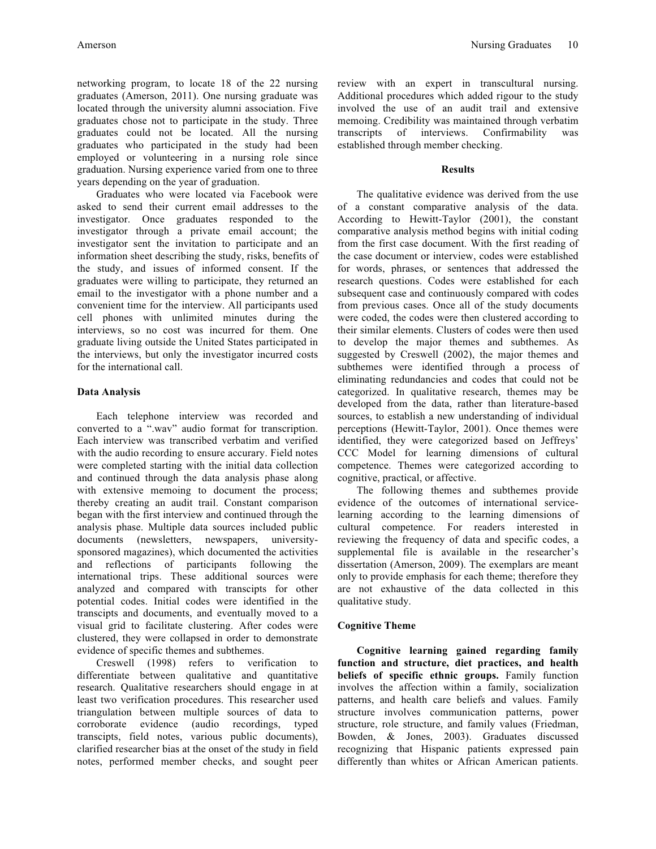networking program, to locate 18 of the 22 nursing graduates (Amerson, 2011). One nursing graduate was located through the university alumni association. Five graduates chose not to participate in the study. Three graduates could not be located. All the nursing graduates who participated in the study had been employed or volunteering in a nursing role since graduation. Nursing experience varied from one to three years depending on the year of graduation.

Graduates who were located via Facebook were asked to send their current email addresses to the investigator. Once graduates responded to the investigator through a private email account; the investigator sent the invitation to participate and an information sheet describing the study, risks, benefits of the study, and issues of informed consent. If the graduates were willing to participate, they returned an email to the investigator with a phone number and a convenient time for the interview. All participants used cell phones with unlimited minutes during the interviews, so no cost was incurred for them. One graduate living outside the United States participated in the interviews, but only the investigator incurred costs for the international call.

# **Data Analysis**

Each telephone interview was recorded and converted to a ".wav" audio format for transcription. Each interview was transcribed verbatim and verified with the audio recording to ensure accurary. Field notes were completed starting with the initial data collection and continued through the data analysis phase along with extensive memoing to document the process; thereby creating an audit trail. Constant comparison began with the first interview and continued through the analysis phase. Multiple data sources included public documents (newsletters, newspapers, universitysponsored magazines), which documented the activities and reflections of participants following the international trips. These additional sources were analyzed and compared with transcipts for other potential codes. Initial codes were identified in the transcipts and documents, and eventually moved to a visual grid to facilitate clustering. After codes were clustered, they were collapsed in order to demonstrate evidence of specific themes and subthemes.

Creswell (1998) refers to verification to differentiate between qualitative and quantitative research. Qualitative researchers should engage in at least two verification procedures. This researcher used triangulation between multiple sources of data to corroborate evidence (audio recordings, typed transcipts, field notes, various public documents), clarified researcher bias at the onset of the study in field notes, performed member checks, and sought peer review with an expert in transcultural nursing. Additional procedures which added rigour to the study involved the use of an audit trail and extensive memoing. Credibility was maintained through verbatim transcripts of interviews. Confirmability was established through member checking.

# **Results**

The qualitative evidence was derived from the use of a constant comparative analysis of the data. According to Hewitt-Taylor (2001), the constant comparative analysis method begins with initial coding from the first case document. With the first reading of the case document or interview, codes were established for words, phrases, or sentences that addressed the research questions. Codes were established for each subsequent case and continuously compared with codes from previous cases. Once all of the study documents were coded, the codes were then clustered according to their similar elements. Clusters of codes were then used to develop the major themes and subthemes. As suggested by Creswell (2002), the major themes and subthemes were identified through a process of eliminating redundancies and codes that could not be categorized. In qualitative research, themes may be developed from the data, rather than literature-based sources, to establish a new understanding of individual perceptions (Hewitt-Taylor, 2001). Once themes were identified, they were categorized based on Jeffreys' CCC Model for learning dimensions of cultural competence. Themes were categorized according to cognitive, practical, or affective.

The following themes and subthemes provide evidence of the outcomes of international servicelearning according to the learning dimensions of cultural competence. For readers interested in reviewing the frequency of data and specific codes, a supplemental file is available in the researcher's dissertation (Amerson, 2009). The exemplars are meant only to provide emphasis for each theme; therefore they are not exhaustive of the data collected in this qualitative study.

# **Cognitive Theme**

**Cognitive learning gained regarding family function and structure, diet practices, and health beliefs of specific ethnic groups.** Family function involves the affection within a family, socialization patterns, and health care beliefs and values. Family structure involves communication patterns, power structure, role structure, and family values (Friedman, Bowden, & Jones, 2003). Graduates discussed recognizing that Hispanic patients expressed pain differently than whites or African American patients.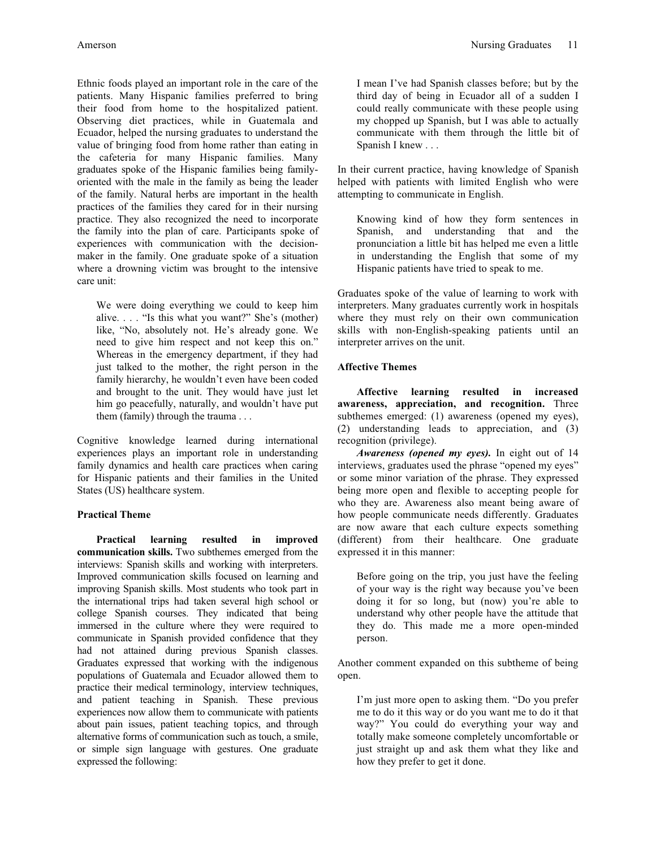Ethnic foods played an important role in the care of the patients. Many Hispanic families preferred to bring their food from home to the hospitalized patient. Observing diet practices, while in Guatemala and Ecuador, helped the nursing graduates to understand the value of bringing food from home rather than eating in the cafeteria for many Hispanic families. Many graduates spoke of the Hispanic families being familyoriented with the male in the family as being the leader of the family. Natural herbs are important in the health practices of the families they cared for in their nursing practice. They also recognized the need to incorporate the family into the plan of care. Participants spoke of experiences with communication with the decisionmaker in the family. One graduate spoke of a situation where a drowning victim was brought to the intensive care unit:

We were doing everything we could to keep him alive. . . . "Is this what you want?" She's (mother) like, "No, absolutely not. He's already gone. We need to give him respect and not keep this on." Whereas in the emergency department, if they had just talked to the mother, the right person in the family hierarchy, he wouldn't even have been coded and brought to the unit. They would have just let him go peacefully, naturally, and wouldn't have put them (family) through the trauma . . .

Cognitive knowledge learned during international experiences plays an important role in understanding family dynamics and health care practices when caring for Hispanic patients and their families in the United States (US) healthcare system.

## **Practical Theme**

**Practical learning resulted in improved communication skills.** Two subthemes emerged from the interviews: Spanish skills and working with interpreters. Improved communication skills focused on learning and improving Spanish skills. Most students who took part in the international trips had taken several high school or college Spanish courses. They indicated that being immersed in the culture where they were required to communicate in Spanish provided confidence that they had not attained during previous Spanish classes. Graduates expressed that working with the indigenous populations of Guatemala and Ecuador allowed them to practice their medical terminology, interview techniques, and patient teaching in Spanish. These previous experiences now allow them to communicate with patients about pain issues, patient teaching topics, and through alternative forms of communication such as touch, a smile, or simple sign language with gestures. One graduate expressed the following:

I mean I've had Spanish classes before; but by the third day of being in Ecuador all of a sudden I could really communicate with these people using my chopped up Spanish, but I was able to actually communicate with them through the little bit of Spanish I knew . . .

In their current practice, having knowledge of Spanish helped with patients with limited English who were attempting to communicate in English.

Knowing kind of how they form sentences in Spanish, and understanding that and the pronunciation a little bit has helped me even a little in understanding the English that some of my Hispanic patients have tried to speak to me.

Graduates spoke of the value of learning to work with interpreters. Many graduates currently work in hospitals where they must rely on their own communication skills with non-English-speaking patients until an interpreter arrives on the unit.

# **Affective Themes**

**Affective learning resulted in increased awareness, appreciation, and recognition.** Three subthemes emerged: (1) awareness (opened my eyes), (2) understanding leads to appreciation, and (3) recognition (privilege).

*Awareness (opened my eyes).* In eight out of 14 interviews, graduates used the phrase "opened my eyes" or some minor variation of the phrase. They expressed being more open and flexible to accepting people for who they are. Awareness also meant being aware of how people communicate needs differently. Graduates are now aware that each culture expects something (different) from their healthcare. One graduate expressed it in this manner:

Before going on the trip, you just have the feeling of your way is the right way because you've been doing it for so long, but (now) you're able to understand why other people have the attitude that they do. This made me a more open-minded person.

Another comment expanded on this subtheme of being open.

I'm just more open to asking them. "Do you prefer me to do it this way or do you want me to do it that way?" You could do everything your way and totally make someone completely uncomfortable or just straight up and ask them what they like and how they prefer to get it done.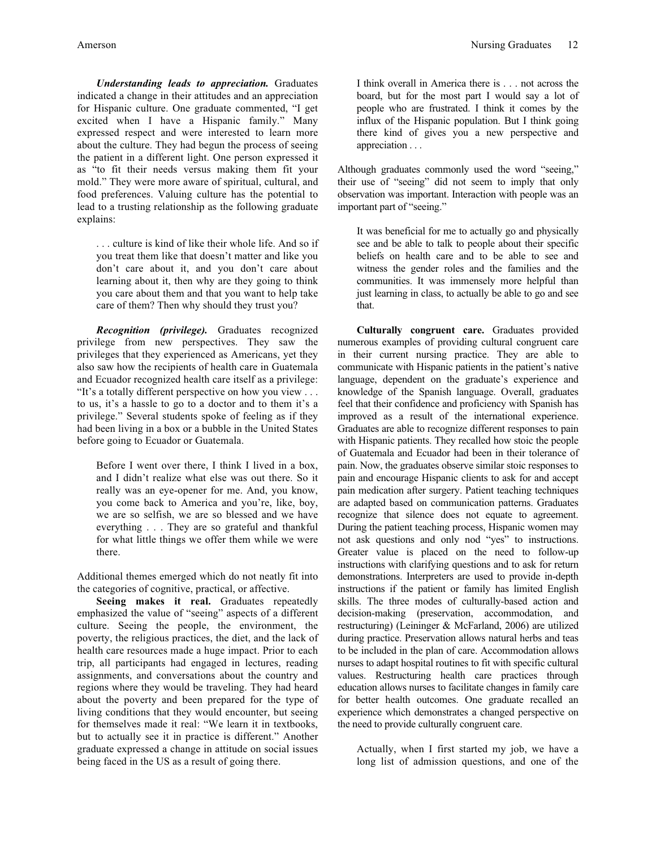*Understanding leads to appreciation.* Graduates indicated a change in their attitudes and an appreciation for Hispanic culture. One graduate commented, "I get excited when I have a Hispanic family." Many expressed respect and were interested to learn more about the culture. They had begun the process of seeing the patient in a different light. One person expressed it as "to fit their needs versus making them fit your mold." They were more aware of spiritual, cultural, and food preferences. Valuing culture has the potential to lead to a trusting relationship as the following graduate explains:

. . . culture is kind of like their whole life. And so if you treat them like that doesn't matter and like you don't care about it, and you don't care about learning about it, then why are they going to think you care about them and that you want to help take care of them? Then why should they trust you?

*Recognition (privilege).* Graduates recognized privilege from new perspectives. They saw the privileges that they experienced as Americans, yet they also saw how the recipients of health care in Guatemala and Ecuador recognized health care itself as a privilege: "It's a totally different perspective on how you view . . . to us, it's a hassle to go to a doctor and to them it's a privilege." Several students spoke of feeling as if they had been living in a box or a bubble in the United States before going to Ecuador or Guatemala.

Before I went over there, I think I lived in a box, and I didn't realize what else was out there. So it really was an eye-opener for me. And, you know, you come back to America and you're, like, boy, we are so selfish, we are so blessed and we have everything . . . They are so grateful and thankful for what little things we offer them while we were there.

Additional themes emerged which do not neatly fit into the categories of cognitive, practical, or affective.

**Seeing makes it real.** Graduates repeatedly emphasized the value of "seeing" aspects of a different culture. Seeing the people, the environment, the poverty, the religious practices, the diet, and the lack of health care resources made a huge impact. Prior to each trip, all participants had engaged in lectures, reading assignments, and conversations about the country and regions where they would be traveling. They had heard about the poverty and been prepared for the type of living conditions that they would encounter, but seeing for themselves made it real: "We learn it in textbooks, but to actually see it in practice is different." Another graduate expressed a change in attitude on social issues being faced in the US as a result of going there.

I think overall in America there is . . . not across the board, but for the most part I would say a lot of people who are frustrated. I think it comes by the influx of the Hispanic population. But I think going there kind of gives you a new perspective and appreciation . . .

Although graduates commonly used the word "seeing," their use of "seeing" did not seem to imply that only observation was important. Interaction with people was an important part of "seeing."

It was beneficial for me to actually go and physically see and be able to talk to people about their specific beliefs on health care and to be able to see and witness the gender roles and the families and the communities. It was immensely more helpful than just learning in class, to actually be able to go and see that.

**Culturally congruent care.** Graduates provided numerous examples of providing cultural congruent care in their current nursing practice. They are able to communicate with Hispanic patients in the patient's native language, dependent on the graduate's experience and knowledge of the Spanish language. Overall, graduates feel that their confidence and proficiency with Spanish has improved as a result of the international experience. Graduates are able to recognize different responses to pain with Hispanic patients. They recalled how stoic the people of Guatemala and Ecuador had been in their tolerance of pain. Now, the graduates observe similar stoic responses to pain and encourage Hispanic clients to ask for and accept pain medication after surgery. Patient teaching techniques are adapted based on communication patterns. Graduates recognize that silence does not equate to agreement. During the patient teaching process, Hispanic women may not ask questions and only nod "yes" to instructions. Greater value is placed on the need to follow-up instructions with clarifying questions and to ask for return demonstrations. Interpreters are used to provide in-depth instructions if the patient or family has limited English skills. The three modes of culturally-based action and decision-making (preservation, accommodation, and restructuring) (Leininger & McFarland, 2006) are utilized during practice. Preservation allows natural herbs and teas to be included in the plan of care. Accommodation allows nurses to adapt hospital routines to fit with specific cultural values. Restructuring health care practices through education allows nurses to facilitate changes in family care for better health outcomes. One graduate recalled an experience which demonstrates a changed perspective on the need to provide culturally congruent care.

Actually, when I first started my job, we have a long list of admission questions, and one of the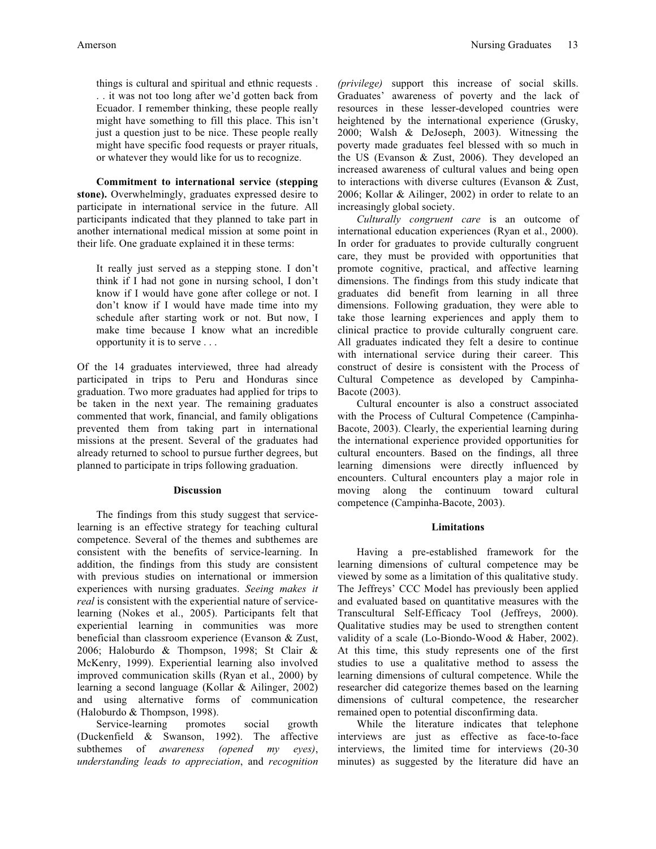things is cultural and spiritual and ethnic requests . . . it was not too long after we'd gotten back from Ecuador. I remember thinking, these people really might have something to fill this place. This isn't just a question just to be nice. These people really might have specific food requests or prayer rituals, or whatever they would like for us to recognize.

**Commitment to international service (stepping stone).** Overwhelmingly, graduates expressed desire to participate in international service in the future. All participants indicated that they planned to take part in another international medical mission at some point in their life. One graduate explained it in these terms:

It really just served as a stepping stone. I don't think if I had not gone in nursing school, I don't know if I would have gone after college or not. I don't know if I would have made time into my schedule after starting work or not. But now, I make time because I know what an incredible opportunity it is to serve . . .

Of the 14 graduates interviewed, three had already participated in trips to Peru and Honduras since graduation. Two more graduates had applied for trips to be taken in the next year. The remaining graduates commented that work, financial, and family obligations prevented them from taking part in international missions at the present. Several of the graduates had already returned to school to pursue further degrees, but planned to participate in trips following graduation.

#### **Discussion**

The findings from this study suggest that servicelearning is an effective strategy for teaching cultural competence. Several of the themes and subthemes are consistent with the benefits of service-learning. In addition, the findings from this study are consistent with previous studies on international or immersion experiences with nursing graduates. *Seeing makes it real* is consistent with the experiential nature of servicelearning (Nokes et al., 2005). Participants felt that experiential learning in communities was more beneficial than classroom experience (Evanson & Zust, 2006; Haloburdo & Thompson, 1998; St Clair & McKenry, 1999). Experiential learning also involved improved communication skills (Ryan et al., 2000) by learning a second language (Kollar & Ailinger, 2002) and using alternative forms of communication (Haloburdo & Thompson, 1998).

Service-learning promotes social growth (Duckenfield & Swanson, 1992). The affective subthemes of *awareness (opened my eyes)*, *understanding leads to appreciation*, and *recognition* 

*(privilege)* support this increase of social skills. Graduates' awareness of poverty and the lack of resources in these lesser-developed countries were heightened by the international experience (Grusky, 2000; Walsh & DeJoseph, 2003). Witnessing the poverty made graduates feel blessed with so much in the US (Evanson & Zust, 2006). They developed an increased awareness of cultural values and being open to interactions with diverse cultures (Evanson & Zust, 2006; Kollar & Ailinger, 2002) in order to relate to an increasingly global society.

*Culturally congruent care* is an outcome of international education experiences (Ryan et al., 2000). In order for graduates to provide culturally congruent care, they must be provided with opportunities that promote cognitive, practical, and affective learning dimensions. The findings from this study indicate that graduates did benefit from learning in all three dimensions. Following graduation, they were able to take those learning experiences and apply them to clinical practice to provide culturally congruent care. All graduates indicated they felt a desire to continue with international service during their career. This construct of desire is consistent with the Process of Cultural Competence as developed by Campinha-Bacote (2003).

Cultural encounter is also a construct associated with the Process of Cultural Competence (Campinha-Bacote, 2003). Clearly, the experiential learning during the international experience provided opportunities for cultural encounters. Based on the findings, all three learning dimensions were directly influenced by encounters. Cultural encounters play a major role in moving along the continuum toward cultural competence (Campinha-Bacote, 2003).

## **Limitations**

Having a pre-established framework for the learning dimensions of cultural competence may be viewed by some as a limitation of this qualitative study. The Jeffreys' CCC Model has previously been applied and evaluated based on quantitative measures with the Transcultural Self-Efficacy Tool (Jeffreys, 2000). Qualitative studies may be used to strengthen content validity of a scale (Lo-Biondo-Wood & Haber, 2002). At this time, this study represents one of the first studies to use a qualitative method to assess the learning dimensions of cultural competence. While the researcher did categorize themes based on the learning dimensions of cultural competence, the researcher remained open to potential disconfirming data.

While the literature indicates that telephone interviews are just as effective as face-to-face interviews, the limited time for interviews (20-30 minutes) as suggested by the literature did have an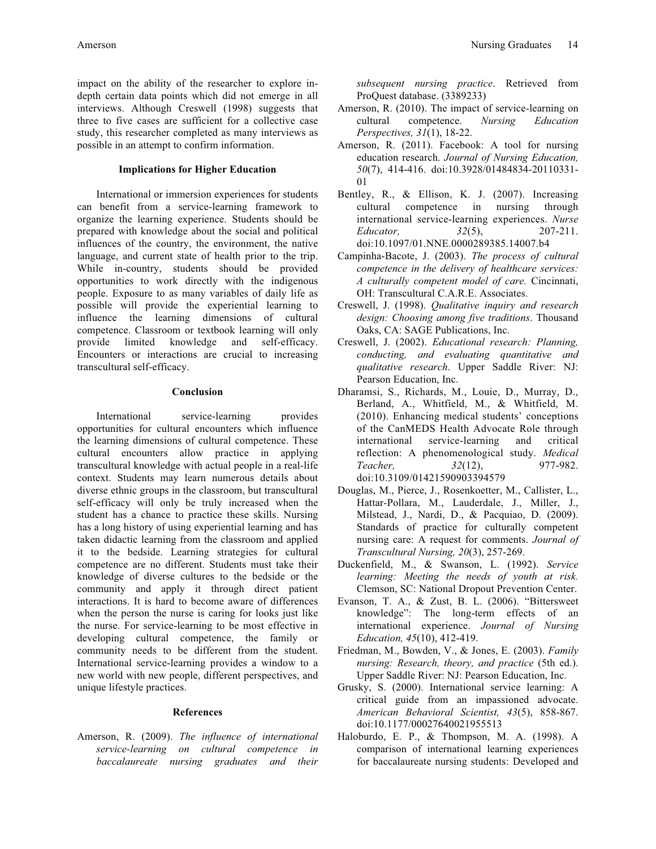impact on the ability of the researcher to explore indepth certain data points which did not emerge in all interviews. Although Creswell (1998) suggests that three to five cases are sufficient for a collective case study, this researcher completed as many interviews as possible in an attempt to confirm information.

## **Implications for Higher Education**

International or immersion experiences for students can benefit from a service-learning framework to organize the learning experience. Students should be prepared with knowledge about the social and political influences of the country, the environment, the native language, and current state of health prior to the trip. While in-country, students should be provided opportunities to work directly with the indigenous people. Exposure to as many variables of daily life as possible will provide the experiential learning to influence the learning dimensions of cultural competence. Classroom or textbook learning will only provide limited knowledge and self-efficacy. Encounters or interactions are crucial to increasing transcultural self-efficacy.

### **Conclusion**

International service-learning provides opportunities for cultural encounters which influence the learning dimensions of cultural competence. These cultural encounters allow practice in applying transcultural knowledge with actual people in a real-life context. Students may learn numerous details about diverse ethnic groups in the classroom, but transcultural self-efficacy will only be truly increased when the student has a chance to practice these skills. Nursing has a long history of using experiential learning and has taken didactic learning from the classroom and applied it to the bedside. Learning strategies for cultural competence are no different. Students must take their knowledge of diverse cultures to the bedside or the community and apply it through direct patient interactions. It is hard to become aware of differences when the person the nurse is caring for looks just like the nurse. For service-learning to be most effective in developing cultural competence, the family or community needs to be different from the student. International service-learning provides a window to a new world with new people, different perspectives, and unique lifestyle practices.

#### **References**

Amerson, R. (2009). *The influence of international service-learning on cultural competence in baccalaureate nursing graduates and their* 

*subsequent nursing practice*. Retrieved from ProQuest database. (3389233)

- Amerson, R. (2010). The impact of service-learning on cultural competence. *Nursing Education Perspectives, 31*(1), 18-22.
- Amerson, R. (2011). Facebook: A tool for nursing education research. *Journal of Nursing Education, 50*(7), 414-416. doi:10.3928/01484834-20110331- 01
- Bentley, R., & Ellison, K. J. (2007). Increasing cultural competence in nursing through international service-learning experiences. *Nurse Educator, 32*(5), 207-211. doi:10.1097/01.NNE.0000289385.14007.b4
- Campinha-Bacote, J. (2003). *The process of cultural competence in the delivery of healthcare services: A culturally competent model of care.* Cincinnati, OH: Transcultural C.A.R.E. Associates.
- Creswell, J. (1998). *Qualitative inquiry and research design: Choosing among five traditions*. Thousand Oaks, CA: SAGE Publications, Inc.
- Creswell, J. (2002). *Educational research: Planning, conducting, and evaluating quantitative and qualitative research*. Upper Saddle River: NJ: Pearson Education, Inc.
- Dharamsi, S., Richards, M., Louie, D., Murray, D., Berland, A., Whitfield, M., & Whitfield, M. (2010). Enhancing medical students' conceptions of the CanMEDS Health Advocate Role through international service-learning and critical reflection: A phenomenological study. *Medical Teacher, 32*(12), 977-982. doi:10.3109/01421590903394579
- Douglas, M., Pierce, J., Rosenkoetter, M., Callister, L., Hattar-Pollara, M., Lauderdale, J., Miller, J., Milstead, J., Nardi, D., & Pacquiao, D. (2009). Standards of practice for culturally competent nursing care: A request for comments. *Journal of Transcultural Nursing, 20*(3), 257-269.
- Duckenfield, M., & Swanson, L. (1992). *Service learning: Meeting the needs of youth at risk.* Clemson, SC: National Dropout Prevention Center.
- Evanson, T. A., & Zust, B. L. (2006). "Bittersweet knowledge": The long-term effects of an international experience. *Journal of Nursing Education, 45*(10), 412-419.
- Friedman, M., Bowden, V., & Jones, E. (2003). *Family nursing: Research, theory, and practice* (5th ed.). Upper Saddle River: NJ: Pearson Education, Inc.
- Grusky, S. (2000). International service learning: A critical guide from an impassioned advocate. *American Behavioral Scientist, 43*(5), 858-867. doi:10.1177/00027640021955513
- Haloburdo, E. P., & Thompson, M. A. (1998). A comparison of international learning experiences for baccalaureate nursing students: Developed and